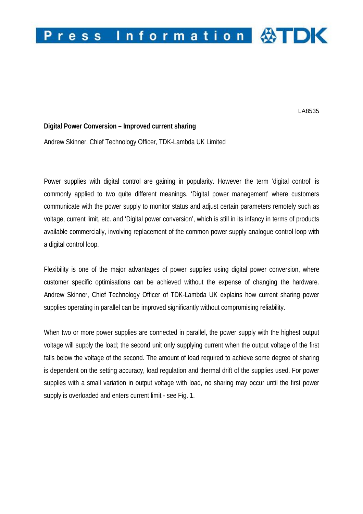

LA8535

## **Digital Power Conversion – Improved current sharing**

Andrew Skinner, Chief Technology Officer, TDK-Lambda UK Limited

Power supplies with digital control are gaining in popularity. However the term 'digital control' is commonly applied to two quite different meanings. 'Digital power management' where customers communicate with the power supply to monitor status and adjust certain parameters remotely such as voltage, current limit, etc. and 'Digital power conversion', which is still in its infancy in terms of products available commercially, involving replacement of the common power supply analogue control loop with a digital control loop.

Flexibility is one of the major advantages of power supplies using digital power conversion, where customer specific optimisations can be achieved without the expense of changing the hardware. Andrew Skinner, Chief Technology Officer of TDK-Lambda UK explains how current sharing power supplies operating in parallel can be improved significantly without compromising reliability.

When two or more power supplies are connected in parallel, the power supply with the highest output voltage will supply the load; the second unit only supplying current when the output voltage of the first falls below the voltage of the second. The amount of load required to achieve some degree of sharing is dependent on the setting accuracy, load regulation and thermal drift of the supplies used. For power supplies with a small variation in output voltage with load, no sharing may occur until the first power supply is overloaded and enters current limit - see Fig. 1.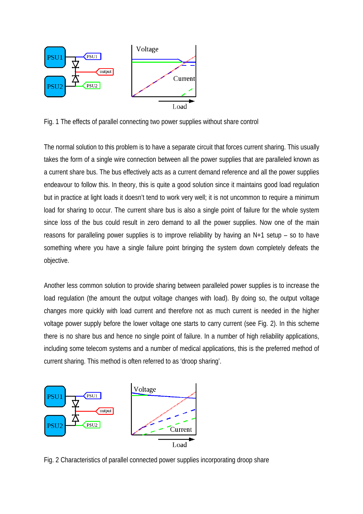

Fig. 1 The effects of parallel connecting two power supplies without share control

The normal solution to this problem is to have a separate circuit that forces current sharing. This usually takes the form of a single wire connection between all the power supplies that are paralleled known as a current share bus. The bus effectively acts as a current demand reference and all the power supplies endeavour to follow this. In theory, this is quite a good solution since it maintains good load regulation but in practice at light loads it doesn't tend to work very well; it is not uncommon to require a minimum load for sharing to occur. The current share bus is also a single point of failure for the whole system since loss of the bus could result in zero demand to all the power supplies. Now one of the main reasons for paralleling power supplies is to improve reliability by having an N+1 setup – so to have something where you have a single failure point bringing the system down completely defeats the objective.

Another less common solution to provide sharing between paralleled power supplies is to increase the load regulation (the amount the output voltage changes with load). By doing so, the output voltage changes more quickly with load current and therefore not as much current is needed in the higher voltage power supply before the lower voltage one starts to carry current (see Fig. 2). In this scheme there is no share bus and hence no single point of failure. In a number of high reliability applications, including some telecom systems and a number of medical applications, this is the preferred method of current sharing. This method is often referred to as 'droop sharing'.



Fig. 2 Characteristics of parallel connected power supplies incorporating droop share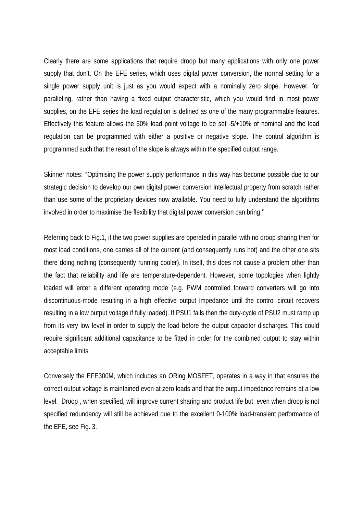Clearly there are some applications that require droop but many applications with only one power supply that don't. On the EFE series, which uses digital power conversion, the normal setting for a single power supply unit is just as you would expect with a nominally zero slope. However, for paralleling, rather than having a fixed output characteristic, which you would find in most power supplies, on the EFE series the load regulation is defined as one of the many programmable features. Effectively this feature allows the 50% load point voltage to be set -5/+10% of nominal and the load regulation can be programmed with either a positive or negative slope. The control algorithm is programmed such that the result of the slope is always within the specified output range.

Skinner notes: ''Optimising the power supply performance in this way has become possible due to our strategic decision to develop our own digital power conversion intellectual property from scratch rather than use some of the proprietary devices now available. You need to fully understand the algorithms involved in order to maximise the flexibility that digital power conversion can bring.''

Referring back to Fig.1, if the two power supplies are operated in parallel with no droop sharing then for most load conditions, one carries all of the current (and consequently runs hot) and the other one sits there doing nothing (consequently running cooler). In itself, this does not cause a problem other than the fact that reliability and life are temperature-dependent. However, some topologies when lightly loaded will enter a different operating mode (e.g. PWM controlled forward converters will go into discontinuous-mode resulting in a high effective output impedance until the control circuit recovers resulting in a low output voltage if fully loaded). If PSU1 fails then the duty-cycle of PSU2 must ramp up from its very low level in order to supply the load before the output capacitor discharges. This could require significant additional capacitance to be fitted in order for the combined output to stay within acceptable limits.

Conversely the EFE300M, which includes an ORing MOSFET, operates in a way in that ensures the correct output voltage is maintained even at zero loads and that the output impedance remains at a low level. Droop , when specified, will improve current sharing and product life but, even when droop is not specified redundancy will still be achieved due to the excellent 0-100% load-transient performance of the EFE, see Fig. 3.